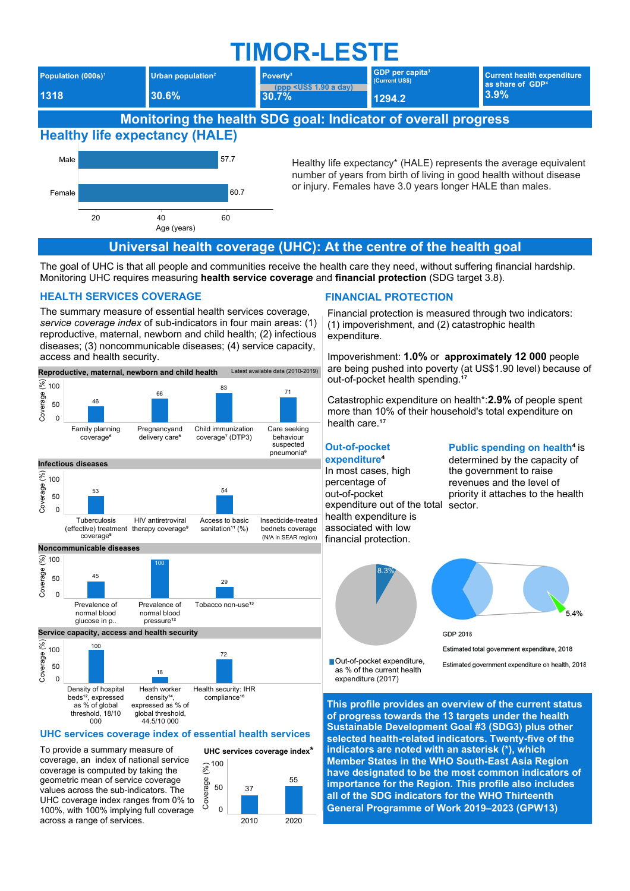# **TIMOR-LESTE**



The goal of UHC is that all people and communities receive the health care they need, without suffering financial hardship. Monitoring UHC requires measuring health service coverage and financial protection (SDG target 3.8).

#### **HEALTH SERVICES COVERAGE**

The summary measure of essential health services coverage, service coverage index of sub-indicators in four main areas: (1) reproductive, maternal, newborn and child health; (2) infectious diseases; (3) noncommunicable diseases; (4) service capacity, access and health security.



as % of global threshold, 18/10 global threshold,  $000$ 44.5/10 000

# UHC services coverage index of essential health services

To provide a summary measure of coverage, an index of national service coverage is computed by taking the geometric mean of service coverage values across the sub-indicators. The UHC coverage index ranges from 0% to 100%, with 100% implying full coverage across a range of services.



# **FINANCIAL PROTECTION**

Financial protection is measured through two indicators: (1) impoverishment, and (2) catastrophic health expenditure.

Impoverishment: 1.0% or approximately 12 000 people are being pushed into poverty (at US\$1.90 level) because of out-of-pocket health spending.<sup>1</sup>

Catastrophic expenditure on health\*: 2.9% of people spent more than 10% of their household's total expenditure on health care.<sup>17</sup>

#### **Out-of-pocket** expenditure<sup>4</sup>

In most cases, high percentage of out-of-pocket expenditure out of the total health expenditure is associated with low financial protection.

#### Public spending on health<sup>4</sup> is

determined by the capacity of the government to raise revenues and the level of priority it attaches to the health sector.





Estimated total government expenditure, 2018

Out-of-pocket expenditure, as % of the current health expenditure (2017)

Estimated government expenditure on health, 2018

This profile provides an overview of the current status of progress towards the 13 targets under the health Sustainable Development Goal #3 (SDG3) plus other selected health-related indicators. Twenty-five of the indicators are noted with an asterisk (\*), which Member States in the WHO South-East Asia Region have designated to be the most common indicators of importance for the Region. This profile also includes all of the SDG indicators for the WHO Thirteenth General Programme of Work 2019-2023 (GPW13)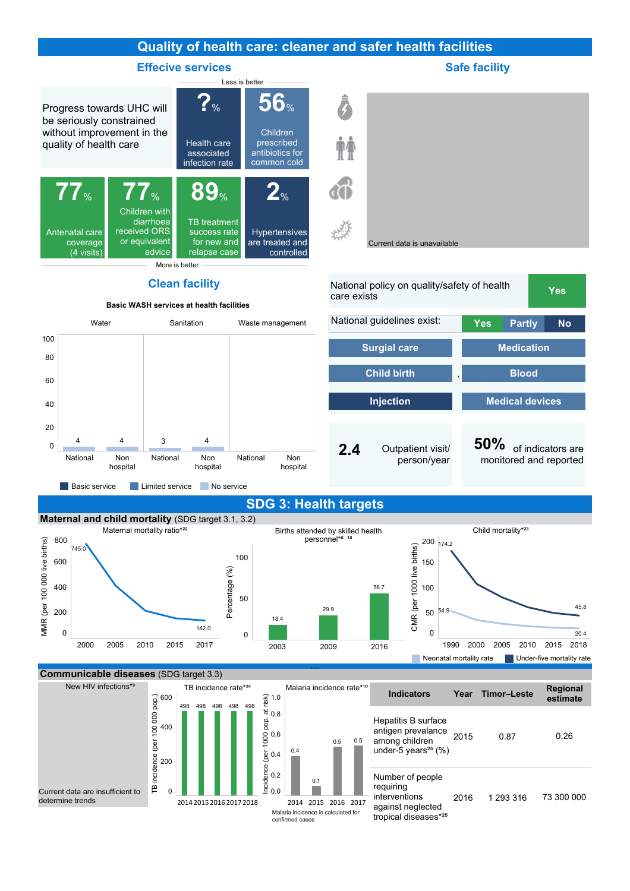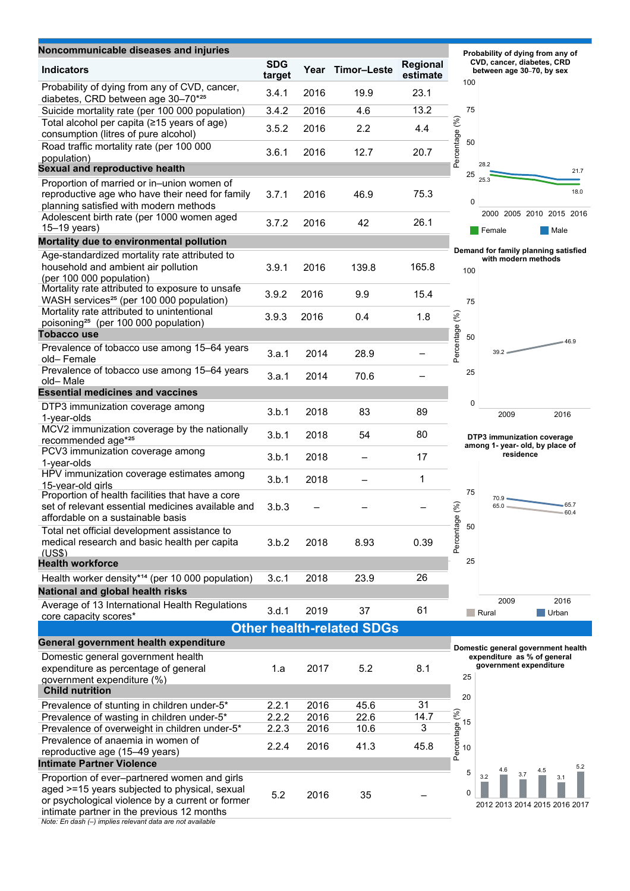| Noncommunicable diseases and injuries                                                                                                      |                      |              |                                  |                      |                                                         | Probability of dying from any of                                  |  |
|--------------------------------------------------------------------------------------------------------------------------------------------|----------------------|--------------|----------------------------------|----------------------|---------------------------------------------------------|-------------------------------------------------------------------|--|
| <b>Indicators</b>                                                                                                                          | <b>SDG</b><br>target | Year         | Timor-Leste                      | Regional<br>estimate | CVD, cancer, diabetes, CRD<br>between age 30-70, by sex |                                                                   |  |
| Probability of dying from any of CVD, cancer,<br>diabetes, CRD between age 30-70 <sup>*25</sup>                                            | 3.4.1                | 2016         | 19.9                             | 23.1                 | 100                                                     |                                                                   |  |
| Suicide mortality rate (per 100 000 population)                                                                                            | 3.4.2                | 2016         | 4.6                              | 13.2                 | 75                                                      |                                                                   |  |
| Total alcohol per capita (≥15 years of age)<br>consumption (litres of pure alcohol)                                                        | 3.5.2                | 2016         | 2.2                              | 4.4                  | Percentage (%)                                          |                                                                   |  |
| Road traffic mortality rate (per 100 000                                                                                                   | 3.6.1                | 2016         | 12.7                             | 20.7                 | 50                                                      |                                                                   |  |
| population)                                                                                                                                |                      |              |                                  |                      |                                                         | 28.2                                                              |  |
| <b>Sexual and reproductive health</b>                                                                                                      |                      |              |                                  |                      | 25                                                      | 21.7<br>25.3                                                      |  |
| Proportion of married or in-union women of<br>reproductive age who have their need for family<br>planning satisfied with modern methods    | 3.7.1                | 2016         | 46.9                             | 75.3                 |                                                         | 18.0<br>$\pmb{0}$                                                 |  |
| Adolescent birth rate (per 1000 women aged<br>$15-19$ years)                                                                               | 3.7.2                | 2016         | 42                               | 26.1                 |                                                         | 2000 2005 2010 2015 2016<br>Female<br>Male                        |  |
| Mortality due to environmental pollution                                                                                                   |                      |              |                                  |                      |                                                         |                                                                   |  |
| Age-standardized mortality rate attributed to                                                                                              |                      |              |                                  |                      |                                                         | Demand for family planning satisfied<br>with modern methods       |  |
| household and ambient air pollution<br>(per 100 000 population)                                                                            | 3.9.1                | 2016         | 139.8                            | 165.8                | 100                                                     |                                                                   |  |
| Mortality rate attributed to exposure to unsafe<br>WASH services <sup>25</sup> (per 100 000 population)                                    | 3.9.2                | 2016         | 9.9                              | 15.4                 | 75                                                      |                                                                   |  |
| Mortality rate attributed to unintentional<br>poisoning <sup>25</sup> (per 100 000 population)                                             | 3.9.3                | 2016         | 0.4                              | 1.8                  |                                                         |                                                                   |  |
| <b>Tobacco use</b>                                                                                                                         |                      |              |                                  |                      | 50                                                      |                                                                   |  |
| Prevalence of tobacco use among 15-64 years<br>old-Female                                                                                  | 3.a.1                | 2014         | 28.9                             |                      | Percentage (%)                                          | $-46.9$<br>$39.2 =$                                               |  |
| Prevalence of tobacco use among 15-64 years<br>old-Male                                                                                    | 3.a.1                | 2014         | 70.6                             |                      | 25                                                      |                                                                   |  |
| <b>Essential medicines and vaccines</b>                                                                                                    |                      |              |                                  |                      |                                                         |                                                                   |  |
| DTP3 immunization coverage among<br>1-year-olds                                                                                            | 3.b.1                | 2018         | 83                               | 89                   |                                                         | 0<br>2009<br>2016                                                 |  |
| MCV2 immunization coverage by the nationally<br>recommended age*25                                                                         | 3.b.1                | 2018         | 54                               | 80                   |                                                         | DTP3 immunization coverage<br>among 1- year- old, by place of     |  |
| PCV3 immunization coverage among<br>1-year-olds                                                                                            | 3.b.1                | 2018         |                                  | 17                   |                                                         | residence                                                         |  |
| HPV immunization coverage estimates among<br>15-year-old girls                                                                             | 3.b.1                | 2018         |                                  | 1                    | 75                                                      |                                                                   |  |
| Proportion of health facilities that have a core<br>set of relevant essential medicines available and<br>affordable on a sustainable basis | 3.b.3                |              |                                  |                      | (%)                                                     | 70.9<br>$-65.7$<br>$65.0 =$<br>60.4                               |  |
| Total net official development assistance to<br>medical research and basic health per capita<br>(US\$)                                     | 3.b.2                | 2018         | 8.93                             | 0.39                 | Percentage<br>50                                        |                                                                   |  |
| <b>Health workforce</b>                                                                                                                    |                      |              |                                  |                      | 25                                                      |                                                                   |  |
| Health worker density* <sup>14</sup> (per 10 000 population)                                                                               | 3.c.1                | 2018         | 23.9                             | 26                   |                                                         |                                                                   |  |
| National and global health risks                                                                                                           |                      |              |                                  |                      |                                                         |                                                                   |  |
| Average of 13 International Health Regulations                                                                                             | 3.d.1                | 2019         | 37                               | 61                   |                                                         | 2009<br>2016<br>Rural<br>Urban                                    |  |
| core capacity scores*                                                                                                                      |                      |              |                                  |                      |                                                         |                                                                   |  |
| General government health expenditure                                                                                                      |                      |              | <b>Other health-related SDGs</b> |                      |                                                         |                                                                   |  |
| Domestic general government health                                                                                                         |                      |              |                                  |                      |                                                         | Domestic general government health<br>expenditure as % of general |  |
| expenditure as percentage of general<br>government expenditure (%)<br><b>Child nutrition</b>                                               | 1.a                  | 2017         | 5.2                              | 8.1                  | 25                                                      | government expenditure                                            |  |
|                                                                                                                                            |                      |              |                                  | 31                   | 20                                                      |                                                                   |  |
| Prevalence of stunting in children under-5*<br>Prevalence of wasting in children under-5*                                                  | 2.2.1<br>2.2.2       | 2016<br>2016 | 45.6<br>22.6                     | 14.7                 |                                                         |                                                                   |  |
| Prevalence of overweight in children under-5*                                                                                              | 2.2.3                | 2016         | 10.6                             | 3                    | 15                                                      |                                                                   |  |
| Prevalence of anaemia in women of                                                                                                          |                      |              |                                  |                      | Percentage (%)                                          |                                                                   |  |
| reproductive age (15-49 years)                                                                                                             | 2.2.4                | 2016         | 41.3                             | 45.8                 | 10                                                      |                                                                   |  |
| <b>Intimate Partner Violence</b>                                                                                                           |                      |              |                                  |                      | 5                                                       | 5.2<br>4.6<br>4.5                                                 |  |
| Proportion of ever-partnered women and girls<br>aged >=15 years subjected to physical, sexual<br>ological violones by a qurrant or former  | 5.2                  | 2016         | 35                               |                      | 0                                                       | 3.7<br>3.2<br>3.1                                                 |  |

201220132014201520162017

Note: En dash (–) implies relevant data are not available intimate partner in the previous 12 months

or psychological violence by a current or former